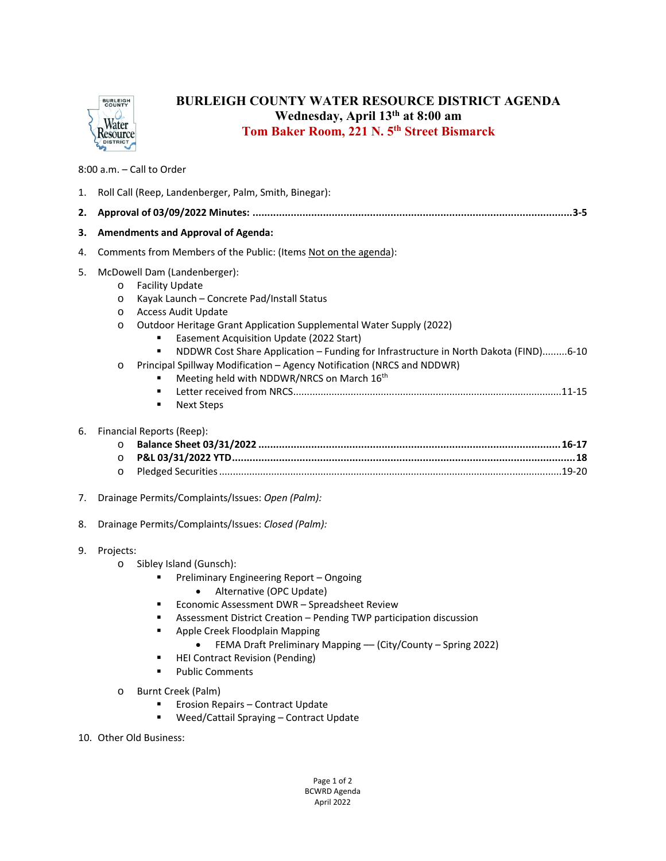

## **BURLEIGH COUNTY WATER RESOURCE DISTRICT AGENDA Wednesday, April 13th at 8:00 am Tom Baker Room, 221 N. 5th Street Bismarck**

8:00 a.m. – Call to Order

| 1.             | Roll Call (Reep, Landenberger, Palm, Smith, Binegar):                                                                                                                                                                                                                                                                                                                                                                                                                                                                                                                           |  |  |  |
|----------------|---------------------------------------------------------------------------------------------------------------------------------------------------------------------------------------------------------------------------------------------------------------------------------------------------------------------------------------------------------------------------------------------------------------------------------------------------------------------------------------------------------------------------------------------------------------------------------|--|--|--|
| 2.             |                                                                                                                                                                                                                                                                                                                                                                                                                                                                                                                                                                                 |  |  |  |
| з.             | <b>Amendments and Approval of Agenda:</b>                                                                                                                                                                                                                                                                                                                                                                                                                                                                                                                                       |  |  |  |
| 4.             | Comments from Members of the Public: (Items Not on the agenda):                                                                                                                                                                                                                                                                                                                                                                                                                                                                                                                 |  |  |  |
| 5.             | McDowell Dam (Landenberger):<br><b>Facility Update</b><br>$\circ$<br>Kayak Launch - Concrete Pad/Install Status<br>O<br><b>Access Audit Update</b><br>O<br>Outdoor Heritage Grant Application Supplemental Water Supply (2022)<br>O<br>Easement Acquisition Update (2022 Start)<br>NDDWR Cost Share Application - Funding for Infrastructure in North Dakota (FIND)6-10<br>×,<br>Principal Spillway Modification - Agency Notification (NRCS and NDDWR)<br>O<br>Meeting held with NDDWR/NRCS on March 16 <sup>th</sup><br>$\blacksquare$<br>$\blacksquare$<br><b>Next Steps</b> |  |  |  |
| 6.<br>7.<br>8. | Financial Reports (Reep):<br>O<br>$\circ$<br>O<br>Drainage Permits/Complaints/Issues: Open (Palm):<br>Drainage Permits/Complaints/Issues: Closed (Palm):                                                                                                                                                                                                                                                                                                                                                                                                                        |  |  |  |
| 9.             | Projects:<br>Sibley Island (Gunsch):<br>$\circ$<br>Preliminary Engineering Report - Ongoing<br>Alternative (OPC Update)<br>Economic Assessment DWR - Spreadsheet Review<br>٠<br>Assessment District Creation - Pending TWP participation discussion<br>٠<br>Apple Creek Floodplain Mapping<br>٠<br>FEMA Draft Preliminary Mapping - (City/County - Spring 2022)<br><b>HEI Contract Revision (Pending)</b><br>٠<br><b>Public Comments</b><br>$\blacksquare$                                                                                                                      |  |  |  |
|                | Burnt Creek (Palm)<br>O<br>Erosion Repairs - Contract Update<br>Weed/Cattail Spraying - Contract Update<br>٠<br>$Q_{\rm min} = 0.014 \, \text{m} \cdot \text{m}$                                                                                                                                                                                                                                                                                                                                                                                                                |  |  |  |

10. Other Old Business: